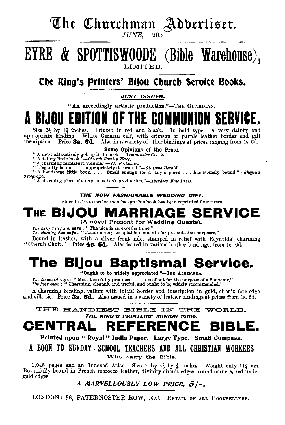## The Churchman Adbertiser.

*JUNE,* 1905.

### EYRE & SPOTTISWOODE (Bible Warehouse), LIMITED.

#### Che King's Printers' Bijou Church Service Books.

#### *JVST ISSVED.*

"An exceedingly artistic production."-THE GUARDIAN.

A BIJOU ŁU

Size  $2\frac{1}{8}$  by  $1\frac{7}{8}$  inches. Printed in red and black. In bold type. A very dainty and appropriate binding. White German calf, with crimson or purple leather border and gilt inscription. Price 3s. 6d. Also in a variety of other bindings at prices ranging from 1s. 6d.

**Some Opinions of the Press.**<br>
"A most attractively got-up little book.—Westminster Gazette.<br>
"A dainty little book."—Church Family News.<br>
"A charming minature volume."—The Socisman.<br>
"Elegantly bound. ... appropriately d Telegraph.<br>"A charming piece of sumptuous book production."-Aberdeen Free Press.

#### THE NOW FASHIONABLE WEDDING GIFT.

Since its issue twelve months ago this book has been reprinted four times.

#### **THE BIJOU MARRIAGE SERVICE**  (A novel Present for Wedding Guests).

The Daily Telegraph says : "The idea is an excellent one."<br>The Morning Post says : "Forms a very acceptable memento for presentation purposes."

Bound in leather, with a silver front side, stamped in relief with Reynolds' charming

"Cherub Choir." Price 4s. 6d. Also issued in various leather bindings, from 1s. 6d.

## **The Bijou Baptismal Service.**

"Ought to be widely appreciated."-THE ATHENEUM.

The Standard says : " Most tastefully produced . . . excellent for the purpose of a Souvenir." The Rock says : " Charming, elegant, and useful, and ought to be widely recommended."

A charming binding, vellum with inlaid border and inscription in gold, circuit fore-edge and silk tie. Price  $35.6d.$  Also issued in a variety of leather bindings at prices from 1s. 6d.

THE HANDIEST BIBLE IN THE WORLD. THE KING'S PRINTERS' MINION 16mo.

### **CENTRAL REFERENCE BIBLE.**

Printed upon " Royal" India Paper. Large Type. Small Compass.

A BOON TO SUNDAY - SCHOOL TEACHERS AND ALL CHRISTIAN WORKERS

Who carry the Bible.

1,048 pages and an Indexed Atlas. Size 7 by  $4\frac{7}{8}$  by  $\frac{3}{4}$  inches. Weight only 11 $\frac{3}{4}$  ozs. Beautifully bound in French morocco leather, divinity circuit edges, round corners, red under gold edges.

#### A MARVELLOUSLY LOW PRICE,  $5/-$ .

LONDON: 33, PATERNOSTER ROW, E.C. RETAIL OF ALL BOOKSELLERS.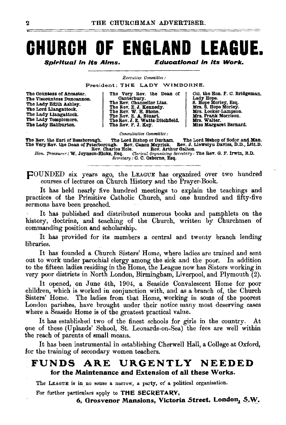## **CHURCH OF ENGLAND LEAGUE.**

Soiritual in its Aims.

**Educational in its Work.** 

Executive Committee :

President: THE LADY WIMBORNE.

The Countess of Ancaster. The Viscountess Duncannon. The Lady Edith Ashley. The Lord Llangattook. The Lady Llangattook. The Lady Templemore.<br>The Lady Haliburton.

The Very Rev. the Dean of<br>The Rev. Chancelor Lias.<br>The Rev. Chancelor Lias.<br>The Rev. E. J. Kennedy.<br>The Rev. E. J. Kennedy.<br>The Rev. E. Watts-Ditchfield.<br>The Rev. J. E. Watts-Ditchfield.<br>The Rev. F. J. Key.

Col. the Hon. F. C. Bridgeman. Lady Hope.<br>Lady Hope.<br>S. Hope Morley, Esq.<br>Mrs. S. Hope Morley.<br>Mrs. Locker-Lampson. Mrs. Frank Morrison. Mrs. Walter. Miss Margaret Bernard.

Consultative Committee:

The Lord Bishop of Durham. The Lord Bishop of Souce and man.<br>The Lord Bishop of Durham. The Lord Bishop of Davies, D.D., Litt, D. The Rev. the Earl of Bessborough. The Very Rev. the Dean of Peterborough. Rev. Canon Meyrick.<br>Rev. Charles Hole. Rev. Arth

n con Laws. In the Manus of the Rev. G. P. Irwin, B.D.<br>Resq. Clerical Organizing Secretary: The Rev. G. P. Irwin, B.D.<br>Secretary: G. C. Osborne, Esq. Hon. Treasurer: W. Joynson-Hicks, Esq.

FOUNDED six years ago, the LEAGUE has organized over two hundred courses of lectures on Church History and the Prayer-Book.

It has held nearly five hundred meetings to explain the teachings and practices of the Primitive Catholic Church, and one hundred and fifty-five sermons have been preached.

It has published and distributed numerous books and pamphlets on the history, doctrine, and teaching of the Church, written by Churchmen of commanding position and scholarship.

It has provided for its members a central and twenty branch lending libraries.

It has founded a Church Sisters' Home, where ladies are trained and sent out to work under parochial clergy among the sick and the poor. In addition to the fifteen ladies residing in the Home, the League now has Sisters working in very poor districts in North London, Birmingham, Liverpool, and Plymouth (2).

It opened, on June 4th, 1904, a Seaside Convalescent Home for poor children, which is worked in conjunction with, and as a branch of, the Church Sisters' Home. The ladies from that Home, working in some of the poorest London parishes, have brought under their notice many most deserving cases where a Seaside Home is of the greatest practical value.

It has established two of the finest schools for girls in the country. At one of these (Uplands' School, St. Leonards-on-Sea) the fees are well within the reach of parents of small means.

It has been instrumental in establishing Cherwell Hall, a College at Oxford, for the training of secondary women teachers.

#### **FUNDS** ARE **URGENTLY** NEEDED for the Maintenance and Extension of all these Works.

The LEAGUE is in no sense a narrow, a party, of a political organisation.

For further particulars apply to THE SECRETARY,

6, Grosvenor Mansions, Victoria Street, London, S.W.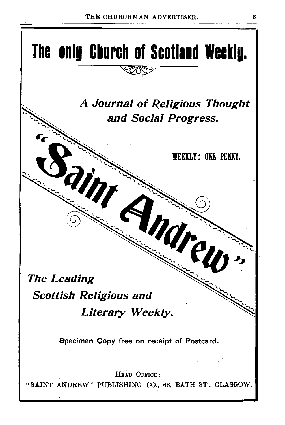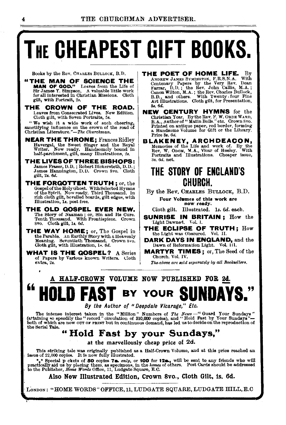# **THE CHEAPEST GIFT BOOKS.**

Books by the Rev. CHARLES BULLOUK, B.D.

- "THE MAN OF SCIENCE THE MAN OF GOD." Leaves from the Life of Sir James Y. Simpson. A valuable little work for all interested in Christian Missions. Cloth gilt, with Portrait, *2s.*
- THE CROWN OF THE ROAD. Leaves from Consecrated Lives. New Edition. Cloth gilt, with Seven Portraits, 5s.

"We wish it a wide work of such cheering, sanctifying influence on the crown of the road of Christian Litsrature."-The *Churchman.* 

- **NEAR THE THRONE; Frances Ridley** Havergal, the Sweet Singer and the Royal Writer. Now ready. Handsomely bound in half-parchment, gilt, many Illustrations, 2s.
- THE LIVES OF THREE BISHOPS:<br>James Fraser, D.D.; Robert Bickersteth, D.D.;<br>James Hannington, D.D. Crown Svo. Cloth gilt, 28. 6d.
- THE FORQOTTEN TRUTH; or, the Gospel of the Holy Ghost. With Selected Hymns<br>of the Spirit. Now ready. Third Thousand. In rich cloth gilt, bevelled boards, gilt edges, with lllustratiou, 18. post free.
- THE OLD QOSPEL EVER NEW. The Story of Naaman; or, Sin and Its Cure.<br>Tenth Thousand. With Frontispiece. Crown Svo. Cloth gilt, Is. *6d.*
- THE WAY HOME; or, The Gospel in the Parable. An Earthly Story with a Heavenly Meaning. Seventieth Thousand. Crown Svo. Cloth gilt, with Illustration,  $1 \times 6d$ .
- WHAT IS THE GOSPEL? A Series of Papers by Various known Writers. Cloth extra, 2s.
- **THE POET OF HOME LIFE.** By<br>ANDREW JAMES SYMINGTON. F.R.S.N.A. With ANDREW JAMES SYMINGTON, F.R.S.N.A. Centenary Papers by the Very Rev. Dean taxrar, D.D.; the Rev. John Callis, M.A.; Canon Wilton, M.A.; the Rev. Charles Bullock,  $B.D., and others$ . With Twenty. four Fine And Ant Illustrations. Cloth gilt, for Presentation, 38. 6d.
- NEW CENTURY HYMNS for the Christian Year. BytheRev.F. W.ORDEWARD, B. A., Author of" Matin Bolls." etc. Crown Svo. Printed on antique paper, red border, forming a Handsome Volume for Gift or the Library. Price Ss. 6d.
- BLAKENEY, ARCHDEACON, Memories of the Life and work of. By the Rev. W. Obom, M.A., Vicar of Heeley. With Portraits and Illustrations. Cheaper issue, at. 6d. net.

#### THE STORY OF ENGLAND'S CHURCH.

By the Rev. CHARLES BuLLOCK, B.D.

Four Volumes of this work are<br>now ready.

Cloth gilt. Illustrated. ls. *6d.* each.

- SUNRISE IN BRITAIN; How the Light Dawned. Vol. 1.
- THE ECLIPSE OF TRUTH; How the Light was Obscured. Vol. II.
- DARK DAYS IN ENQLAND, and the Dawn of Reformation Light. Vol Ill.
- MARTYR TIMES; or, The Seed of the Church. Vol. IV.

*The. above are sold separately* by *all Booksellers.* 

### A HALF-CROWN VOLUME NOW PUBLISHED FOR 2d. **"HOLD FAST** BY YOUR **SUNDAYS."**

By *the Author of "Deepdale Vicarage," Etc.* 

The intense interest taken in the "Million" Numbers of The News -"Guard Your Sundays"<br>(attaining so speedily the "record" circulation of 310,000 copies), and "Hold Fast by Your Sundays"-<br>both of which are now our or rans the Serial Tale.

#### " Hold Fast by your Sundays,"

at the marvellously cheap price of 2d.

This striking tale was originally published as a Half-Crown Volume, and at this price reached an issue of 22,000 copies. It is now fully illustrated.

\*\* Special p ckets of 50 copies 7a. *only*, or 100 for 12a., will be sent to any friends who will<br>practically aid us by placing them, as specimens, in the *homes* of others. Post Cards should be addressed<br>to the Publisher

Also New IllustPated Edition, CPown Svo., Cloth Gilt, ts. 6d.

LONDON: "HOME WORDS" OFFICE, 11, LUDGATE SQUARE, LUDGATE HILL, E.C.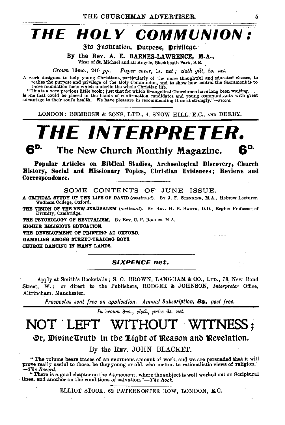## **THE HOLY COMMUNION:**

3ts 3nstitution, Purpose, Privilege.

By the Rev. A. E. BARNES-LAWRENCE, M.A.,

Vicar of St. Michael and all Angels, Blackheath Park, S.E.

*Crown* 16mo., 240 *pp. Paper cover,* ls. *net; cloth gilt,* 2s. *net.* 

A work designed to help young Christians, particularly of the more thoughtful and educated classes, to realize the purpose and privilege of the Holy Communion, and to show how central the Sacrament is to those foundation f

"This is a very precious little book; just that for which ungelical Churchmen have long been waiting....<br>is one that could be placed in the hands of confirmation candidates and young communicants with great<br>advantage to th

LONDON: BEMROSE & SONS, LTD., 4, SNOW HILL, E.C., AND DERBY.



The New Church Monthly Magazine.

Popular Articles on Biblical Studies, Archwological Discovery, Church History, Social and Missionary Topics, Christian Evidences; Reviews and Correspondence.

SOME CONTENTS OF JUNE ISSUE.

A CRITICAL STUDY OF THE LIFE OF DAVID (continued). By J. F. STENNING, M.A., Hebrew Lecturer, Wadham College, Oxford.

THE VISION OF THE NEW JERUSALEM (continued). By REV. H. B. SWETE, D.D., Regius Professor of Divinity, Cambridge.

THE PSYCHOLOGY OF REVIVALISM. By Rev. C. F. ROGERS, M.A.

mGHER RELIGIOUS EDUCATION.

THE DEVELOPMENT OF PRINTING AT OXFORD. GAMBLING AMONG STREET-TRADING BOYS.

OHUROH DANCING IN MANY LANDS.

*SIXPENCE net.* 

Apply at Smith's Bookstalls; S. C. BROWN, LANGHAM & CO., LTD., 78, New Bond Street, W. ; or direct to the Publishers, RODGER & JOHNSON, *Interpreter* Office, Altrincham, Manchester.

*Prospectus sent free on application. Annual Subscription,* Bs. *post free.* 

*In crown Bvo., cloth, price 6s. net.* 

## NOT 'LEFT WITHOUT WITNESS;

**Or, DivineTruth in the Light of Reason and Revelation.** 

By the REv. JOHN BLACKET.

" The volume bears traces of an enormous amount of work, and we are persuaded that it will prove really useful to those, be they young or old, who incline to rationalistic views of religion.'<br>*-The Record.* 

" There is a good chapter on the Atonement, where the subject is well worked out on Scriptural lines, and another on the conditions of salvation."-The *Rock*.

ELLIOT STOCK, 62 PATERNOSTER ROW, LONDON, E.C.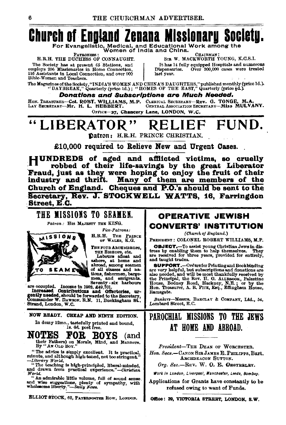## **Church of England Zenana Missionary Society.**

For Evangelistic, Medical, and Educational Work among the<br>Women of India and China.<br>E.R.H. THE DUCHESS OF CONNAUGHT. SIE W. MACKWORTH YOUNG, K

The Society has at present 65 Stations, and It has 14 full employs 206 Missionaries in Home Connection, Dispensaries. 116 Assistants in Local Connection, and over 900 .<br>Bible-Women and Teachers.

SIE W. MACKWORTH YOUNG, K.C.S.I. It has 14 fully equipped Hospitals and numerous<br>ispensaries. Over 300,000 cases were treated last vear.

The Magazines of the Society, "INDIA'S WOMEN AND CHINA'S DAUGHTERS,"published monthly(price ld.). "DAYBREAK," Quarterly (price ld.); "HOMES OF THE EAST," Quarterly (price Ad.).

Donations and Subscriptions are Much Needed.

HON. TREASUBER-COL. ROBT. WILLIAMS, M.P. CLERICAL SECRETARY-Rev. G. TONGE, M.A. Lar Secretary-Miss MULV. CERTRAL ASSOCIATION SECRETARY-MISS MULVANY.

OFFICE-27, Chancery Lane, LONDON, W.C.

## LIBERATOR" RELIEF FUND.

Datron: H.R.H. PRINCE CHRISTIAN.

£10,000 required to Relieve New and Urgent Oases.

HUNDREDS of aged and afllicted victims, so cruelly : robbed of their life-savings by the great Liberator Fraud, just as they were hoping to enjoy the fruit of their industry and thrift. Many of them are members of the Church of England. Cheques and P.O.'s should be sent to the Secretary, Rey. J. STOCKWELL WATTS, 16, Farringdon Street, E.C.

### THE MISSIONS TO SEAMEN.

*Patron:* His MAJESTY THE KING.



*Yice-Patrona:*  H.R.H, TnE PRINCE OF WALES, K.G.

THE FOUR ARCHBISHOPS.

THE BISHOPS, etc.<br>Labours afloat and<br>sahore, at home and<br>abroad, among seamen

Increased Contributions and Offertories, urgently needed, should be forwarded to the Secretary, Commander W. DAWSON. R.N. 11, Buckingham St., Strand, London, W.C.

NOW READY. OHEAP AND NINTH EDITION.

In demy  $12$ mo., tastefully printed and bound,<br> $\textbf{NOTES} \quad \textbf{FOR} \quad \textbf{BOYS} \quad \textbf{(an)}$ NOTES FOR :BOYS (and their Fathers) on Morals, Mind, and Manners.

By "AN OLD BOY."

" The advice is simply excellent. It is practical, minute, and although high-toned, not too stringent." minute, and although high-toned, not too stringent."<br>--Literary World.<br>"The teaching is high-principled, liberal-minded,

and drawn from practical experience."-Christian

" An admirable little volume, full of sound sense.<br>and wise suggestions, plenty of sympathy, with<br>wholesome liberty."--Daily News.

ELLIOT STOCK, 62, PATERNOSTER ROW, LONDON.

#### OPERATIVE JEWISH CONVERTS' INSTITUTION

(Church of England.)

PRESIDENT: COLONEL ROBERT WILLIAMS, M.P.

OB.IECT.-To assist young Christian Jews in dis- tress by enahllng them to help themselves. They are received for three years, provided for entirely, and taught trades.<br>SUPPORT.-Orders for Printing and Bookbinding

**SUPPORT.**—Orders for Printing and Bookbinding<br>are very helpful, but subscriptions and donations are<br>also needed, and will be most thankfully received by<br>the Principal, the Rev. H. O. ALLEBOOK, Palestine<br>House, Bodney Road R&msg&te.

Bankers-Messrs. BARCLAY & COMPANY, Ltd., 54, Lombard Street, H.C.

#### PAROCHIAL MISSIONS TO THE JEWS AT HOME AND ABROAD.

*President-THE* DEAN oF WoBCESTEB. Hon. Secs.-CANON SIR JAMES E. PHILIPPS, Bart. ARcHDEACON SuTTON.

 $Ora. Sec.$ -REV. W. O. E. OESTERLEY.

Work in London, Liverpool, Manchester, Leeds, Bombay.

Applications for Grants have constantly to be refused owing to want of Funds.

Office: 39, VIOTORIA STREET, LONDON, S.W.

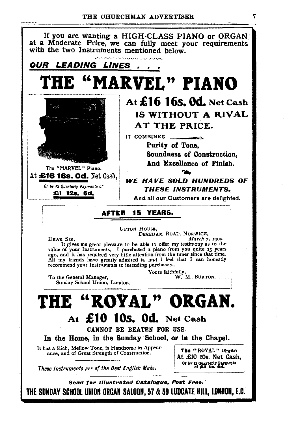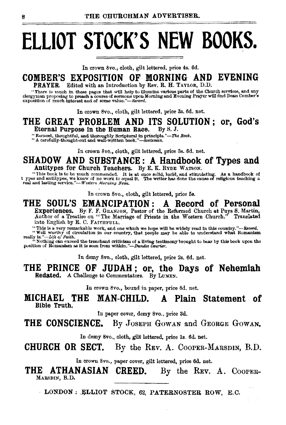# **ELLIOT STOCK'S NEW BOOKS.**

In crown 8vo., cloth, gilt lettered, price 4s. 6d.

#### **COMBER'S EXPOSITION OF MORNING AND EVENING**  PRAYER. Edited with an Introduction by Rev. R. H. TAYLOR, D.D.

"There is much in these pages that will help to illumine various parts of the Church services, and an;v: clergyman proposing to preach a course of sermons upon .Morning and Evening Prayer will find Dean Combers exposition of much interest and of some value."-Record.

In crown 8vo., cloth, gilt lettered, price 3s. 6d. net.

**THE GREAT PROBLEM AND ITS SOLUTION ; or, God's**  Eternal Purpose in the Human Race.

"Earnest, thoughtful, and thoroughly Scriptural in principle."--Tke Rock.<br>"A carefully-thought-out and well-written book."-Scotsman.

In crown 8vo., cloth, gilt lettered, price 3s. 6d. net.

#### **SHADOW AND SUBSTANCE: A Handbook of Types and**  Antitypes for Church Teachers. By E. K. RYnE WATSON.

This book is to be much commended. It is at once solid, lucid, and stimulating. As a handbook of<br>t ypes and antitypes, we know of no work to equal it. The writer has done the cause of religious teaching a<br>real and lasting

In crown 8vo., cloth, gilt lettered, price 5s.

#### **THE SOUL'S EMANCIPATION : A Record of Personal**  Experiences. By F. F. GRANJON, Pastor of the Reformed Church at Puys S. Martin, Author of a Treatise on "The Marriage of Priests in the Western Church." Translated Author of a Treatise on "The Marriage of Priests in the Western Church."

into English by R. C. FAITHFULL.

"This is a very remarkable work, and one which we hope will be widely read in this country."—Record.<br>"Well worthy of circulation in our country, that people may be able to understand what Romanism<br>really is."—Life of Fatt

In demy Svo., cloth, gilt lettered, price 2s. 6d. net.

#### **THE PRINCE OF JUDAH ; or, the Days of Nehemiah**  Redated. A Challenge to Commentators. By LUMEN.

In crown 8vo., bound in paper, price 6d. net.

#### **MICHAEL THE MAN-CHILD. A Plain Statement of**  Bible Truth.

In paper eover, demy Svo., price 3d.

**THE CONSCIENCE.** By JOSEPH GOWAN and GEORGE GOWAN.

In demy Svo., cloth, gilt lettered, price ls. 6d. net.

**CHURCH OR SECT.** By the REv. A. CooPER-MARSDIN, B.D.

In crown 8vo., paper cover, gilt lettered, price 6d. net.

**THE ATHANASIAN CREED.** By the REV. A. COOPER-MARSDIN, B.D.

LONDON: ELLIOT STOCK, 62, PATERNOSTER ROW, E.C.  $\bar{z}$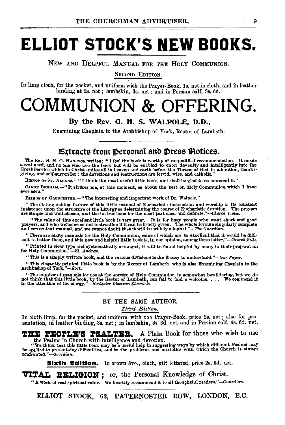## **ELLIOT STOCK'S NEW BOOKS.**

NEW AND HELPFUL MANUAL FOR THE HoLY CoMMUNION.

SECOND EDITION.

In limp cloth, for the pocket, and uniform with the Prayer· Book, ls. net in cloth, and in leather binding at 2s. net ; lambskin, 3s. net ; and in Persian oalf, 3s. 6d.

## COMMUNION & OFFERING.

By the Rev. 0. H. S. WALPOLE, D.D.,

Examining Chaplain to the Archbishop of York, Rector of Lambeth.

#### Extracts from personal and press Potices.

The Rev. B. M. O. HANCOOK writes: "I feel the book is worthy of unqualified recommendation. It meets<br>a real need, and no one who uses the book but will be enabled to enter devoutly and intelligently into the<br>Great Service giving, and self·surrender; the devotions and instructions are fervid, wise, and catholic."

BISHOP OF ST. ALBANS.-"I think it a most useful little book, and shall be glad to recommend it."

CANON BENHAM.--" It strikes me, at this moment, as about the best on Holy Communion which I have ever seen."

BISHOP OF GLOUCESTER.-" The interesting and important work of Dr. Walpole."

"The distinguishing feature of this little manual of Eucharistic instruction and worship is its constant insistence upon the structure of the Liturgy as determining the course of Eucharistic devotion. The prayers are simp

"The value of this excellent little book is very great. It is for busy people who want short and good<br>prayers, and who welcome sound instruction if it can be briefly given. The whole forms a singularly complete<br>and conveni

"There are many manuals for the Holy Communion, some of which are so excellent that it would be difficult to better them, and this new and helpful little book is, in our opinion, among these latter."—Church Bells.

" Printed in clear type and systematically arranged, it will be found helpful by many in their preparation for Holy Communion."--St. *Andrew*.

" This is a simply written book, and the various divisions make it easy to understand."---Our Paper.

"This elegantly printed little book is by the Rector of Lambeth, who is also Examining Chaplain to the Archbishop of York."-Rock.

"The number of manuals for use at the service of Holy Communion is somewhat bewildering, but we do not think that the look, by the Rector of Lambeth, can fail to find a welcome..... We commend it not think that is the ele

#### BY THE SAME AUTHOR.

#### *Third Edition.*

In cloth limp, for the pocket, and uniform with the Prayer-Book, price 2s. net; also for presentation, in leather binding, 3s. net; in lambakin, 3s. 6d. net, and in Persian calf, 4s. 6d. net.

THE PEOPLE'S PSALTER. A Plain Book for those who wish to use the Psalms in Church with intelligence and devotion.

"We think that this little book may be a useful help in suggesting ways by which different Psalms may be applied to present day difficulties, and to the problems and anxieties with which the Church is always confronted.".

Sixth Edition. In crown 8vo., cloth, gilt lettered, price 2s. 6d. net.

VITAL RELIGION: or, the Personal Knowledge of Christ.

"A work of real spiritual value. We heartily recommend it to all thoughtful readers."-Guardian.

ELLIOT STOCK, 62, PATERNOSTER ROW, LONDON, E.C.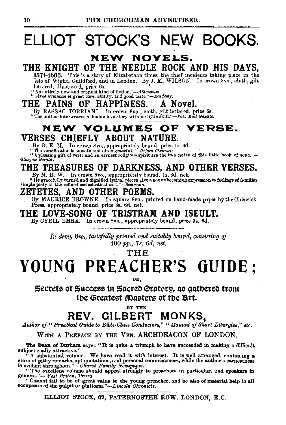## **ELLIOT STOCK'S NEW BOOKS.**

#### **NEW NOVELS.**

#### THE KNIGHT OF THE NEEDLE ROCK AND HIS DAYS,

1671-1606. This is a story of Elizabethan times, the chief incidents taking place in the Isle of Wight, Guildford, and in London. By J. M. WILSON. In crown 8vo., cloth, gilt lettered, illustrated, price 6s.

<sup>14</sup> An entirely new and original kind of fiction."-Athenceum "Gives evidence of great care, ability, and good *taste."-Academy.* 

#### THE PAINS OF HAPPINESS. A Novel.

By RASSAC TORRIANI. In crown 8vo., cloth, gilt lettered, price 6s.<br>"The author interweaves a double love story with no little skill."-Pall Mall Gazette.

#### **NEW VOLUMES OF VERSE.**  VERSES CHIEFLY ABOUT NATURE.

By G. E. M. In crown 8vo., appropriately bound, price 1s. 6d.<br>"The versification is smooth and often graceful."--0xford Chronicle.<br>"A pleasing gift of verse and an earnest religious spirit are the two notes of this little

## THE TREASURES OF DARKNESS, AND OTHER VERSES.<br>By M. B. W. In crown 8vo., appropriately bound, 1s. 6d. net.

By M. B. W. In crown 8vo., appropriately bound, 1s. 6d. net.<br>"Its gracefully turned and dignified lyrical pieces give a not unbecoming expression to feelings of familiar<br>simple piety of the refined ecclesiastical sort."—Sc

#### ZETETES, AND OTHER POEMS.

By MAURICE BROWNE. 'In square Svo., printed on hand-made paper bytheOhiswick Press, appropriately bound, price 3s. 6d. net.

#### THE LOVE-SONG OF TRISTRAM AND ISEULT.

By CYRIL EMRA. In crown 8vo., appropriately bound, price 3s. 6d.

In demy 8vo., tastefully printed and suitably bound, consisting of 400 pp., *7s. 6d. net.* 

THE

## **YO UNO PREACHER'S GUIDE;**

OR,

Secrets of Success in Sacred Oratory, as gatbered from tbe Greatest **(D**asters of tbe Art.<br> $_{\text{BF THE}}$ 

### REV. GILBERT MONKS,

*Author of" Practical Guide to Bible-Olass Conductors," "Ma.nu.a.l of Short Liturgies," etc.* 

#### WITH A PREFACE BY THE VEN. ARCHDEACON OF LONDON.

The Dean of Durham says: "It is quite a triumph to have succeeded in making a difficult subject really attractive."<br>"A substantial volume. We have read it with interest. It is well arranged, containing a<br>"A substantial volume. We have read it with interest. It is well arranged, containing a

"A substantial volume. We have read it with interest. It is well arranged, containing a store of pithy remarks, apt quotations, and personal reminiscences, while the author's earnestness is evident throughout."—Church Fami

geners.l."-*West Briton,* Truro.

" Cannot fail to be of great value to the young preacher, and be also of material help to all occupants of the pulpit or platform."—Lincoln *Chronicle*.

ELLIOT STOCK, 62, PATERNOSTER ROW, LONDON, E.C.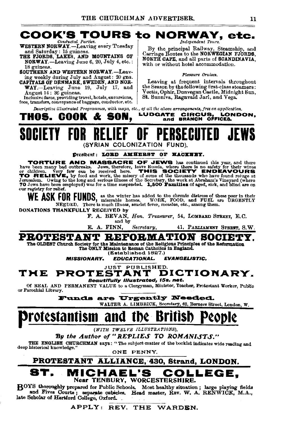

 $\mathbf{B}$ OYS thoroughly prepared for Public Schools. Most healthy situation; large playing fields and Fives Courts; separate cubicles. Head master, REV. W. A. RENWICK, M.A., late Scholar of Hertford College, Oxford.